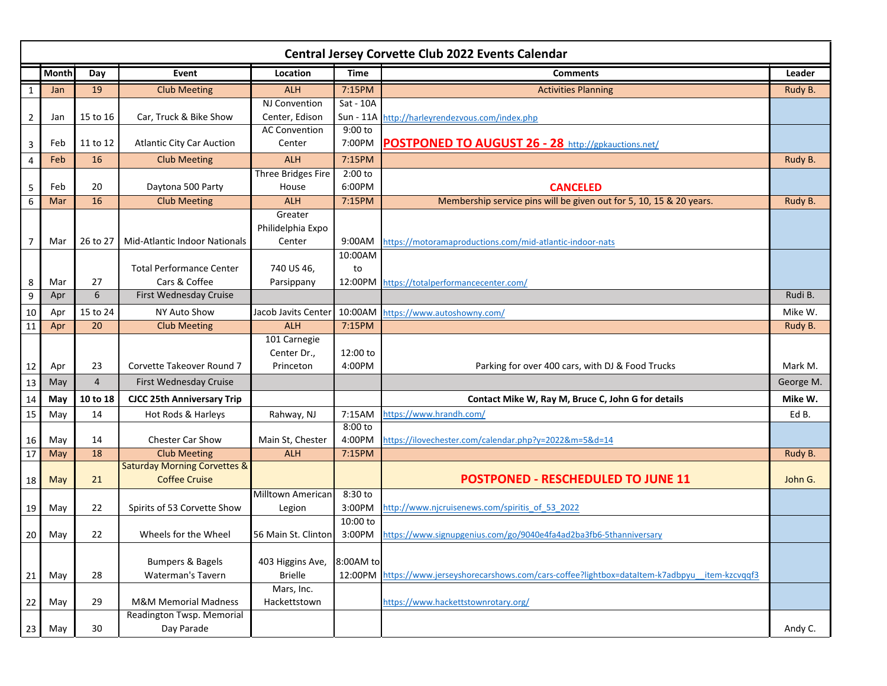| <b>Central Jersey Corvette Club 2022 Events Calendar</b> |              |                |                                         |                            |                     |                                                                                          |           |  |
|----------------------------------------------------------|--------------|----------------|-----------------------------------------|----------------------------|---------------------|------------------------------------------------------------------------------------------|-----------|--|
|                                                          | <b>Month</b> | Day            | <b>Event</b>                            | Location                   | <b>Time</b>         | <b>Comments</b>                                                                          | Leader    |  |
| $\mathbf{1}$                                             | Jan          | 19             | <b>Club Meeting</b>                     | <b>ALH</b>                 | 7:15PM              | <b>Activities Planning</b>                                                               | Rudy B.   |  |
|                                                          |              |                |                                         | NJ Convention              | Sat - 10A           |                                                                                          |           |  |
| $\overline{2}$                                           | Jan          | 15 to 16       | Car, Truck & Bike Show                  | Center, Edison             |                     | Sun - 11A http://harleyrendezvous.com/index.php                                          |           |  |
|                                                          |              |                |                                         | <b>AC Convention</b>       | 9:00 to             |                                                                                          |           |  |
| 3                                                        | Feb          | 11 to 12       | <b>Atlantic City Car Auction</b>        | Center                     | 7:00PM              | POSTPONED TO AUGUST 26 - 28 http://gpkauctions.net/                                      |           |  |
| 4                                                        | Feb          | 16             | <b>Club Meeting</b>                     | <b>ALH</b>                 | 7:15PM              |                                                                                          | Rudy B.   |  |
|                                                          |              |                |                                         | Three Bridges Fire         | 2:00 to             |                                                                                          |           |  |
| 5                                                        | Feb          | 20             | Daytona 500 Party                       | House                      | 6:00PM              | <b>CANCELED</b>                                                                          |           |  |
| $\boldsymbol{6}$                                         | Mar          | 16             | <b>Club Meeting</b>                     | <b>ALH</b>                 | 7:15PM              | Membership service pins will be given out for 5, 10, 15 & 20 years.                      | Rudy B.   |  |
|                                                          |              |                |                                         | Greater                    |                     |                                                                                          |           |  |
|                                                          |              |                |                                         | Philidelphia Expo          |                     |                                                                                          |           |  |
| $\overline{7}$                                           | Mar          | 26 to 27       | Mid-Atlantic Indoor Nationals           | Center                     | 9:00AM              | https://motoramaproductions.com/mid-atlantic-indoor-nats                                 |           |  |
|                                                          |              |                | <b>Total Performance Center</b>         |                            | 10:00AM             |                                                                                          |           |  |
|                                                          | Mar          | 27             | Cars & Coffee                           | 740 US 46,<br>Parsippany   | to<br>12:00PM       | https://totalperformancecenter.com/                                                      |           |  |
| 8<br>$\boldsymbol{9}$                                    | Apr          | 6              | First Wednesday Cruise                  |                            |                     |                                                                                          | Rudi B.   |  |
|                                                          |              |                |                                         |                            |                     |                                                                                          |           |  |
| 10                                                       | Apr          | 15 to 24       | NY Auto Show                            | Jacob Javits Center        | 10:00AM             | https://www.autoshowny.com/                                                              | Mike W.   |  |
| 11                                                       | Apr          | 20             | <b>Club Meeting</b>                     | <b>ALH</b><br>101 Carnegie | 7:15PM              |                                                                                          | Rudy B.   |  |
|                                                          |              |                |                                         | Center Dr.,                | 12:00 to            |                                                                                          |           |  |
| 12                                                       | Apr          | 23             | Corvette Takeover Round 7               | Princeton                  | 4:00PM              | Parking for over 400 cars, with DJ & Food Trucks                                         | Mark M.   |  |
| 13                                                       | May          | $\overline{4}$ | First Wednesday Cruise                  |                            |                     |                                                                                          | George M. |  |
|                                                          |              |                |                                         |                            |                     |                                                                                          | Mike W.   |  |
| 14                                                       | May          | 10 to 18       | <b>CJCC 25th Anniversary Trip</b>       |                            |                     | Contact Mike W, Ray M, Bruce C, John G for details                                       |           |  |
| 15                                                       | May          | 14             | Hot Rods & Harleys                      | Rahway, NJ                 | 7:15AM<br>$8:00$ to | https://www.hrandh.com/                                                                  | Ed B.     |  |
| 16                                                       | May          | 14             | <b>Chester Car Show</b>                 | Main St, Chester           | 4:00PM              | https://ilovechester.com/calendar.php?y=2022&m=5&d=14                                    |           |  |
| 17                                                       | May          | 18             | <b>Club Meeting</b>                     | <b>ALH</b>                 | 7:15PM              |                                                                                          | Rudy B.   |  |
|                                                          |              |                | <b>Saturday Morning Corvettes &amp;</b> |                            |                     |                                                                                          |           |  |
| 18                                                       | May          | 21             | <b>Coffee Cruise</b>                    |                            |                     | <b>POSTPONED - RESCHEDULED TO JUNE 11</b>                                                | John G.   |  |
|                                                          |              |                |                                         | <b>Milltown American</b>   | 8:30 to             |                                                                                          |           |  |
| 19                                                       | May          | 22             | Spirits of 53 Corvette Show             | Legion                     | 3:00PM              | http://www.njcruisenews.com/spiritis of 53 2022                                          |           |  |
|                                                          |              |                |                                         |                            | 10:00 to            |                                                                                          |           |  |
| 20 <sub>1</sub>                                          | May          | 22             | Wheels for the Wheel                    | 56 Main St. Clinton        | 3:00PM              | https://www.signupgenius.com/go/9040e4fa4ad2ba3fb6-5thanniversary                        |           |  |
|                                                          |              |                |                                         |                            |                     |                                                                                          |           |  |
|                                                          |              |                | <b>Bumpers &amp; Bagels</b>             | 403 Higgins Ave,           | 8:00AM to           |                                                                                          |           |  |
| 21                                                       | May          | 28             | Waterman's Tavern                       | <b>Brielle</b>             | 12:00PM             | https://www.jerseyshorecarshows.com/cars-coffee?lightbox=dataltem-k7adbpyu item-kzcvgqf3 |           |  |
|                                                          |              |                |                                         | Mars, Inc.                 |                     |                                                                                          |           |  |
| 22                                                       | May          | 29             | <b>M&amp;M Memorial Madness</b>         | Hackettstown               |                     | https://www.hackettstownrotary.org/                                                      |           |  |
|                                                          | May          | 30             | Readington Twsp. Memorial<br>Day Parade |                            |                     |                                                                                          | Andy C.   |  |
| 23                                                       |              |                |                                         |                            |                     |                                                                                          |           |  |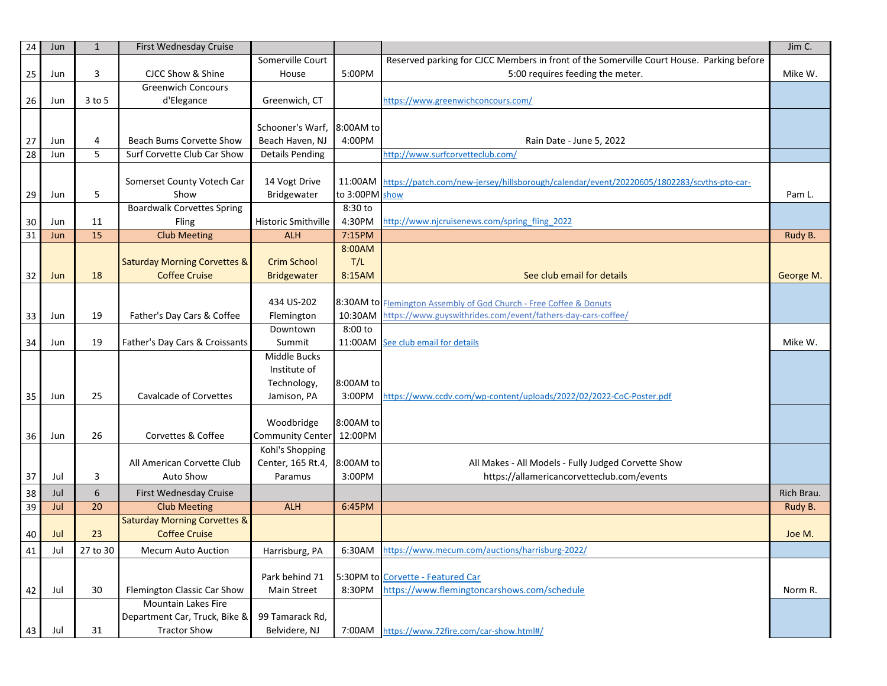| 24 | Jun | $\mathbf{1}$ | First Wednesday Cruise                  |                            |                   |                                                                                           | Jim C.     |
|----|-----|--------------|-----------------------------------------|----------------------------|-------------------|-------------------------------------------------------------------------------------------|------------|
|    |     |              |                                         | Somerville Court           |                   | Reserved parking for CJCC Members in front of the Somerville Court House. Parking before  |            |
| 25 | Jun | 3            | CJCC Show & Shine                       | House                      | 5:00PM            | 5:00 requires feeding the meter.                                                          | Mike W.    |
|    |     |              | <b>Greenwich Concours</b>               |                            |                   |                                                                                           |            |
| 26 | Jun | $3$ to 5     | d'Elegance                              | Greenwich, CT              |                   | https://www.greenwichconcours.com/                                                        |            |
|    |     |              |                                         |                            |                   |                                                                                           |            |
|    |     |              |                                         | Schooner's Warf,           | 8:00AM to         |                                                                                           |            |
| 27 | Jun | 4            | Beach Bums Corvette Show                | Beach Haven, NJ            | 4:00PM            | Rain Date - June 5, 2022                                                                  |            |
| 28 | Jun | 5            | Surf Corvette Club Car Show             | <b>Details Pending</b>     |                   | http://www.surfcorvetteclub.com/                                                          |            |
|    |     |              |                                         |                            |                   |                                                                                           |            |
|    |     |              | Somerset County Votech Car              | 14 Vogt Drive              | 11:00AM           |                                                                                           |            |
|    |     | 5            | Show                                    | Bridgewater                | to 3:00PM show    | https://patch.com/new-jersey/hillsborough/calendar/event/20220605/1802283/scvths-pto-car- |            |
| 29 | Jun |              |                                         |                            |                   |                                                                                           | Pam L.     |
|    |     |              | <b>Boardwalk Corvettes Spring</b>       |                            | 8:30 to<br>4:30PM |                                                                                           |            |
| 30 | Jun | 11           | Fling                                   | <b>Historic Smithville</b> |                   | http://www.njcruisenews.com/spring fling 2022                                             |            |
| 31 | Jun | 15           | <b>Club Meeting</b>                     | <b>ALH</b>                 | 7:15PM            |                                                                                           | Rudy B.    |
|    |     |              |                                         |                            | 8:00AM            |                                                                                           |            |
|    |     |              | <b>Saturday Morning Corvettes &amp;</b> | <b>Crim School</b>         | T/L               |                                                                                           |            |
| 32 | Jun | 18           | <b>Coffee Cruise</b>                    | <b>Bridgewater</b>         | 8:15AM            | See club email for details                                                                | George M.  |
|    |     |              |                                         |                            |                   |                                                                                           |            |
|    |     |              |                                         | 434 US-202                 |                   | 8:30AM to Flemington Assembly of God Church - Free Coffee & Donuts                        |            |
| 33 | Jun | 19           | Father's Day Cars & Coffee              | Flemington                 |                   | 10:30AM https://www.guyswithrides.com/event/fathers-day-cars-coffee/                      |            |
|    |     |              |                                         | Downtown                   | 8:00 to           |                                                                                           |            |
| 34 | Jun | 19           | Father's Day Cars & Croissants          | Summit                     |                   | 11:00AM See club email for details                                                        | Mike W.    |
|    |     |              |                                         | Middle Bucks               |                   |                                                                                           |            |
|    |     |              |                                         | Institute of               |                   |                                                                                           |            |
|    |     |              |                                         | Technology,                | 8:00AM to         |                                                                                           |            |
| 35 | Jun | 25           | <b>Cavalcade of Corvettes</b>           | Jamison, PA                | 3:00PM            | https://www.ccdv.com/wp-content/uploads/2022/02/2022-CoC-Poster.pdf                       |            |
|    |     |              |                                         |                            |                   |                                                                                           |            |
|    |     |              |                                         | Woodbridge                 | 8:00AM to         |                                                                                           |            |
| 36 | Jun | 26           | Corvettes & Coffee                      | Community Center 12:00PM   |                   |                                                                                           |            |
|    |     |              |                                         | Kohl's Shopping            |                   |                                                                                           |            |
|    |     |              | All American Corvette Club              | Center, 165 Rt.4,          | 8:00AM to         | All Makes - All Models - Fully Judged Corvette Show                                       |            |
| 37 | Jul | 3            | Auto Show                               | Paramus                    | 3:00PM            | https://allamericancorvetteclub.com/events                                                |            |
| 38 | Jul | 6            | First Wednesday Cruise                  |                            |                   |                                                                                           | Rich Brau. |
| 39 | Jul | 20           | <b>Club Meeting</b>                     | <b>ALH</b>                 | 6:45PM            |                                                                                           | Rudy B.    |
|    |     |              | <b>Saturday Morning Corvettes &amp;</b> |                            |                   |                                                                                           |            |
| 40 | Jul | 23           | <b>Coffee Cruise</b>                    |                            |                   |                                                                                           | Joe M.     |
| 41 | Jul | 27 to 30     | Mecum Auto Auction                      | Harrisburg, PA             | 6:30AM            | https://www.mecum.com/auctions/harrisburg-2022/                                           |            |
|    |     |              |                                         |                            |                   |                                                                                           |            |
|    |     |              |                                         | Park behind 71             |                   | 5:30PM to Corvette - Featured Car                                                         |            |
| 42 | Jul | 30           | Flemington Classic Car Show             | Main Street                | 8:30PM            | https://www.flemingtoncarshows.com/schedule                                               | Norm R.    |
|    |     |              | Mountain Lakes Fire                     |                            |                   |                                                                                           |            |
|    |     |              | Department Car, Truck, Bike &           | 99 Tamarack Rd,            |                   |                                                                                           |            |
| 43 | Jul | 31           | <b>Tractor Show</b>                     | Belvidere, NJ              | 7:00AM            | https://www.72fire.com/car-show.html#/                                                    |            |
|    |     |              |                                         |                            |                   |                                                                                           |            |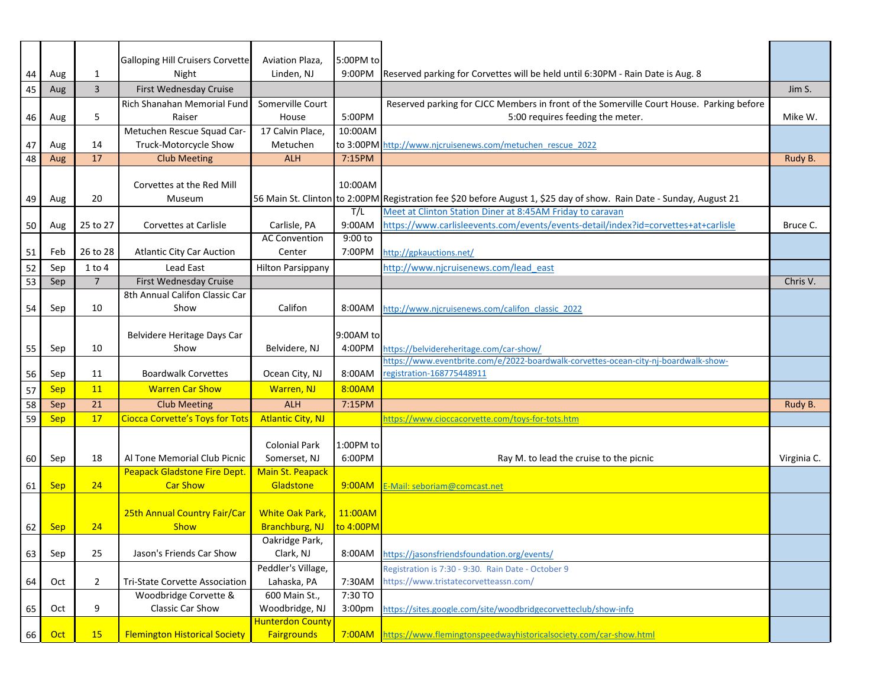|    |            |                | <b>Galloping Hill Cruisers Corvette</b> | Aviation Plaza,          | 5:00PM to          |                                                                                                                      |             |
|----|------------|----------------|-----------------------------------------|--------------------------|--------------------|----------------------------------------------------------------------------------------------------------------------|-------------|
| 44 | Aug        | $\mathbf{1}$   | Night                                   | Linden, NJ               | 9:00PM             | Reserved parking for Corvettes will be held until 6:30PM - Rain Date is Aug. 8                                       |             |
| 45 | Aug        | 3              | First Wednesday Cruise                  |                          |                    |                                                                                                                      | Jim S.      |
|    |            |                | Rich Shanahan Memorial Fund             | Somerville Court         |                    | Reserved parking for CJCC Members in front of the Somerville Court House. Parking before                             |             |
| 46 | Aug        | 5              | Raiser                                  | House                    | 5:00PM             | 5:00 requires feeding the meter.                                                                                     | Mike W.     |
|    |            |                | Metuchen Rescue Squad Car-              | 17 Calvin Place,         | 10:00AM            |                                                                                                                      |             |
| 47 | Aug        | 14             | Truck-Motorcycle Show                   | Metuchen                 |                    | to 3:00PM http://www.njcruisenews.com/metuchen rescue 2022                                                           |             |
| 48 | Aug        | 17             | <b>Club Meeting</b>                     | <b>ALH</b>               | 7:15PM             |                                                                                                                      | Rudy B.     |
|    |            |                |                                         |                          |                    |                                                                                                                      |             |
|    |            |                | Corvettes at the Red Mill               |                          | 10:00AM            |                                                                                                                      |             |
| 49 | Aug        | 20             | Museum                                  |                          |                    | 56 Main St. Clinton to 2:00PM Registration fee \$20 before August 1, \$25 day of show. Rain Date - Sunday, August 21 |             |
|    |            |                |                                         |                          | T/L                | Meet at Clinton Station Diner at 8:45AM Friday to caravan                                                            |             |
| 50 | Aug        | 25 to 27       | Corvettes at Carlisle                   | Carlisle, PA             | 9:00AM             | https://www.carlisleevents.com/events/events-detail/index?id=corvettes+at+carlisle                                   | Bruce C.    |
|    |            |                |                                         | <b>AC Convention</b>     | 9:00 to            |                                                                                                                      |             |
| 51 | Feb        | 26 to 28       | <b>Atlantic City Car Auction</b>        | Center                   | 7:00PM             | http://gpkauctions.net/                                                                                              |             |
| 52 | Sep        | $1$ to $4$     | Lead East                               | <b>Hilton Parsippany</b> |                    | http://www.njcruisenews.com/lead east                                                                                |             |
| 53 | Sep        | $\overline{7}$ | First Wednesday Cruise                  |                          |                    |                                                                                                                      | Chris V.    |
|    |            |                | 8th Annual Califon Classic Car          |                          |                    |                                                                                                                      |             |
| 54 | Sep        | 10             | Show                                    | Califon                  | 8:00AM             | http://www.njcruisenews.com/califon classic 2022                                                                     |             |
|    |            |                |                                         |                          |                    |                                                                                                                      |             |
|    |            |                | Belvidere Heritage Days Car             |                          | 9:00AM to          |                                                                                                                      |             |
| 55 | Sep        | 10             | Show                                    | Belvidere, NJ            | 4:00PM             | https://belvidereheritage.com/car-show/                                                                              |             |
|    |            |                |                                         |                          |                    | https://www.eventbrite.com/e/2022-boardwalk-corvettes-ocean-city-nj-boardwalk-show-                                  |             |
| 56 | Sep        | 11             | <b>Boardwalk Corvettes</b>              | Ocean City, NJ           | 8:00AM             | registration-168775448911                                                                                            |             |
| 57 | <b>Sep</b> | 11             | <b>Warren Car Show</b>                  | Warren, NJ               | 8:00AM             |                                                                                                                      |             |
| 58 | Sep        | 21             | <b>Club Meeting</b>                     | <b>ALH</b>               | 7:15PM             |                                                                                                                      | Rudy B.     |
| 59 | Sep        | 17             | <b>Ciocca Corvette's Toys for Tots</b>  | <b>Atlantic City, NJ</b> |                    | https://www.cioccacorvette.com/toys-for-tots.htm                                                                     |             |
|    |            |                |                                         |                          |                    |                                                                                                                      |             |
|    |            |                |                                         | <b>Colonial Park</b>     | 1:00PM to          |                                                                                                                      |             |
| 60 | Sep        | 18             | Al Tone Memorial Club Picnic            | Somerset, NJ             | 6:00PM             | Ray M. to lead the cruise to the picnic                                                                              | Virginia C. |
|    |            |                | <b>Peapack Gladstone Fire Dept.</b>     | Main St. Peapack         |                    |                                                                                                                      |             |
| 61 | <b>Sep</b> | 24             | <b>Car Show</b>                         | Gladstone                | 9:00AM             | E-Mail: seboriam@comcast.net                                                                                         |             |
|    |            |                |                                         |                          |                    |                                                                                                                      |             |
|    |            |                | 25th Annual Country Fair/Car            | <b>White Oak Park</b>    | 11:00AM            |                                                                                                                      |             |
| 62 | <b>Sep</b> | 24             | <b>Show</b>                             | Branchburg, NJ           | to 4:00PM          |                                                                                                                      |             |
|    |            |                |                                         | Oakridge Park,           |                    |                                                                                                                      |             |
| 63 | Sep        | 25             | Jason's Friends Car Show                | Clark, NJ                | 8:00AM             | https://jasonsfriendsfoundation.org/events/                                                                          |             |
|    |            |                |                                         | Peddler's Village,       |                    | Registration is 7:30 - 9:30. Rain Date - October 9                                                                   |             |
| 64 | Oct        | $\overline{2}$ | Tri-State Corvette Association          | Lahaska, PA              | 7:30AM             | https://www.tristatecorvetteassn.com/                                                                                |             |
|    |            |                | Woodbridge Corvette &                   | 600 Main St.,            | 7:30 TO            |                                                                                                                      |             |
| 65 | Oct        | 9              | Classic Car Show                        | Woodbridge, NJ           | 3:00 <sub>pm</sub> | https://sites.google.com/site/woodbridgecorvetteclub/show-info                                                       |             |
|    |            |                |                                         | <b>Hunterdon County</b>  |                    |                                                                                                                      |             |
| 66 | Oct        | <b>15</b>      | <b>Flemington Historical Society</b>    | <b>Fairgrounds</b>       | 7:00AM             | https://www.flemingtonspeedwayhistoricalsociety.com/car-show.html                                                    |             |